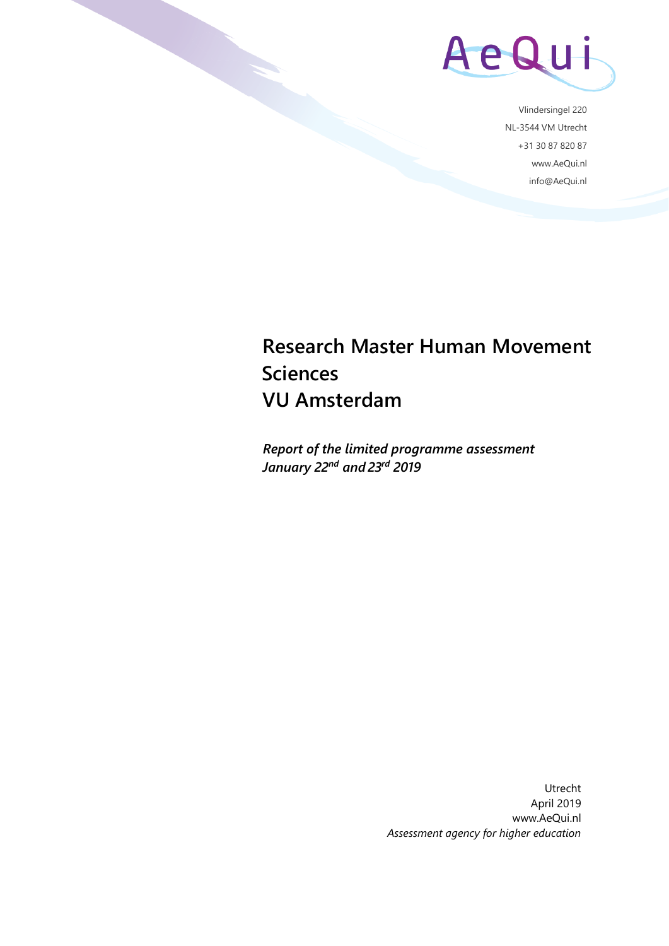

Vlindersingel 220 NL-3544 VM Utrecht +31 30 87 820 87 www.AeQui.nl info@AeQui.nl

## **Research Master Human Movement Sciences VU Amsterdam**

*Report of the limited programme assessment January 22nd and 23rd 2019*

> Utrecht April 2019 www.AeQui.nl *Assessment agency for higher education*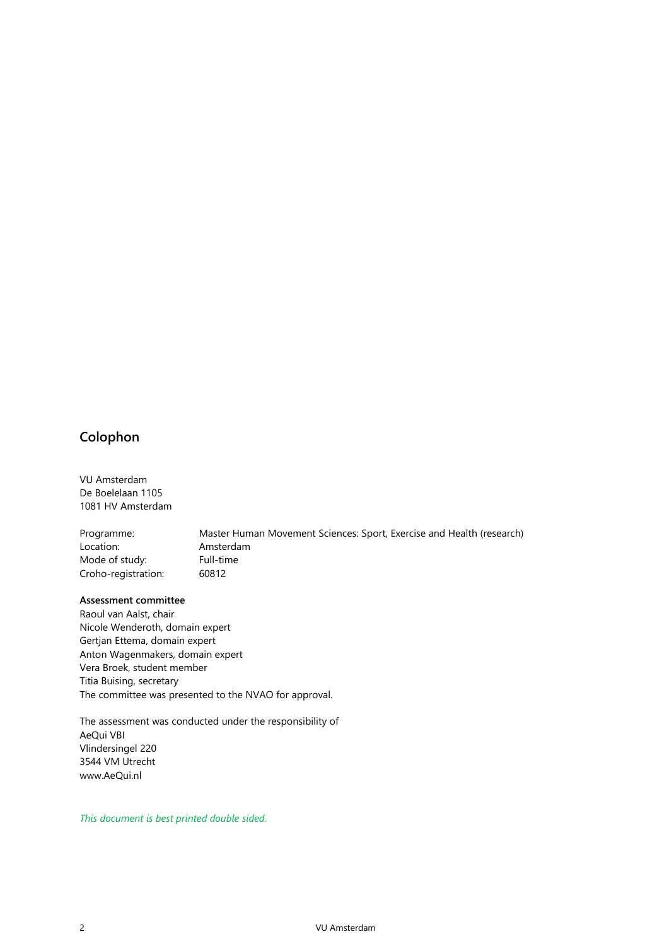### **Colophon**

VU Amsterdam De Boelelaan 1105 1081 HV Amsterdam

Programme: Master Human Movement Sciences: Sport, Exercise and Health (research) Location: Amsterdam Mode of study: Full-time Croho-registration: 60812

#### **Assessment committee**

Raoul van Aalst, chair Nicole Wenderoth, domain expert Gertjan Ettema, domain expert Anton Wagenmakers, domain expert Vera Broek, student member Titia Buising, secretary The committee was presented to the NVAO for approval.

The assessment was conducted under the responsibility of AeQui VBI Vlindersingel 220 3544 VM Utrecht www.AeQui.nl

*This document is best printed double sided.*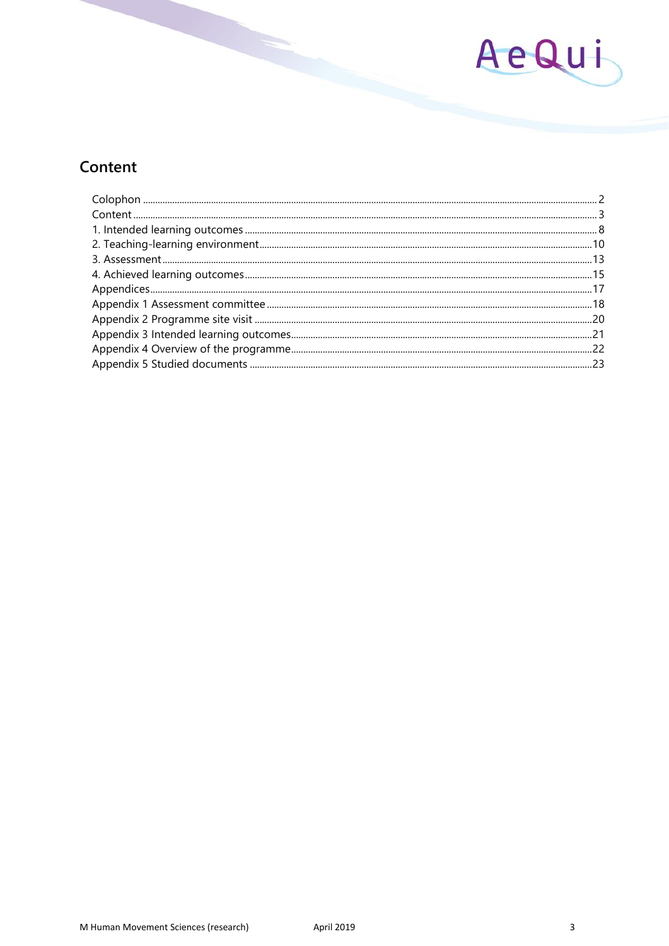

## Content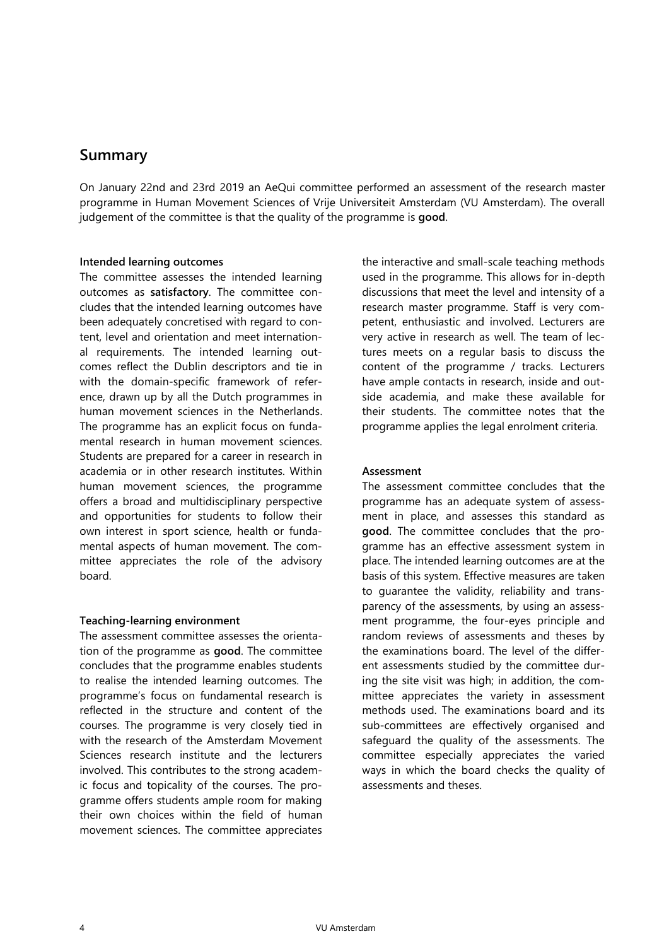### **Summary**

On January 22nd and 23rd 2019 an AeQui committee performed an assessment of the research master programme in Human Movement Sciences of Vrije Universiteit Amsterdam (VU Amsterdam). The overall judgement of the committee is that the quality of the programme is **good**.

#### **Intended learning outcomes**

The committee assesses the intended learning outcomes as **satisfactory**. The committee concludes that the intended learning outcomes have been adequately concretised with regard to content, level and orientation and meet international requirements. The intended learning outcomes reflect the Dublin descriptors and tie in with the domain-specific framework of reference, drawn up by all the Dutch programmes in human movement sciences in the Netherlands. The programme has an explicit focus on fundamental research in human movement sciences. Students are prepared for a career in research in academia or in other research institutes. Within human movement sciences, the programme offers a broad and multidisciplinary perspective and opportunities for students to follow their own interest in sport science, health or fundamental aspects of human movement. The committee appreciates the role of the advisory board.

#### **Teaching-learning environment**

The assessment committee assesses the orientation of the programme as **good**. The committee concludes that the programme enables students to realise the intended learning outcomes. The programme's focus on fundamental research is reflected in the structure and content of the courses. The programme is very closely tied in with the research of the Amsterdam Movement Sciences research institute and the lecturers involved. This contributes to the strong academic focus and topicality of the courses. The programme offers students ample room for making their own choices within the field of human movement sciences. The committee appreciates

the interactive and small-scale teaching methods used in the programme. This allows for in-depth discussions that meet the level and intensity of a research master programme. Staff is very competent, enthusiastic and involved. Lecturers are very active in research as well. The team of lectures meets on a regular basis to discuss the content of the programme / tracks. Lecturers have ample contacts in research, inside and outside academia, and make these available for their students. The committee notes that the programme applies the legal enrolment criteria.

#### **Assessment**

The assessment committee concludes that the programme has an adequate system of assessment in place, and assesses this standard as **good**. The committee concludes that the programme has an effective assessment system in place. The intended learning outcomes are at the basis of this system. Effective measures are taken to guarantee the validity, reliability and transparency of the assessments, by using an assessment programme, the four-eyes principle and random reviews of assessments and theses by the examinations board. The level of the different assessments studied by the committee during the site visit was high; in addition, the committee appreciates the variety in assessment methods used. The examinations board and its sub-committees are effectively organised and safeguard the quality of the assessments. The committee especially appreciates the varied ways in which the board checks the quality of assessments and theses.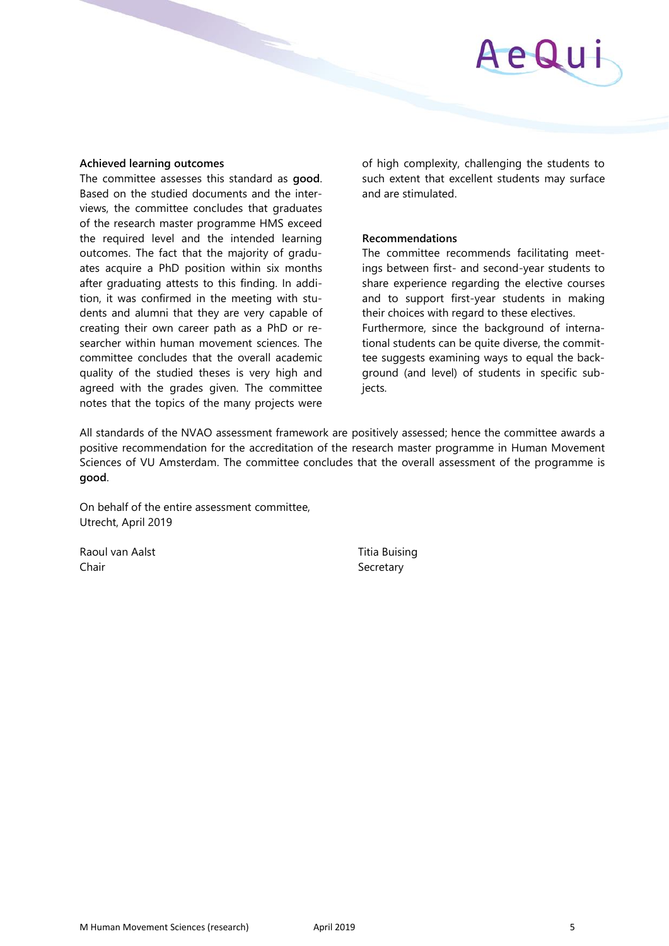#### **Achieved learning outcomes**

The committee assesses this standard as **good**. Based on the studied documents and the interviews, the committee concludes that graduates of the research master programme HMS exceed the required level and the intended learning outcomes. The fact that the majority of graduates acquire a PhD position within six months after graduating attests to this finding. In addition, it was confirmed in the meeting with students and alumni that they are very capable of creating their own career path as a PhD or researcher within human movement sciences. The committee concludes that the overall academic quality of the studied theses is very high and agreed with the grades given. The committee notes that the topics of the many projects were

of high complexity, challenging the students to such extent that excellent students may surface and are stimulated.

#### **Recommendations**

The committee recommends facilitating meetings between first- and second-year students to share experience regarding the elective courses and to support first-year students in making their choices with regard to these electives. Furthermore, since the background of international students can be quite diverse, the committee suggests examining ways to equal the background (and level) of students in specific subjects.

All standards of the NVAO assessment framework are positively assessed; hence the committee awards a positive recommendation for the accreditation of the research master programme in Human Movement Sciences of VU Amsterdam. The committee concludes that the overall assessment of the programme is **good**.

On behalf of the entire assessment committee, Utrecht, April 2019

Raoul van Aalst Titia Buising Chair Secretary Secretary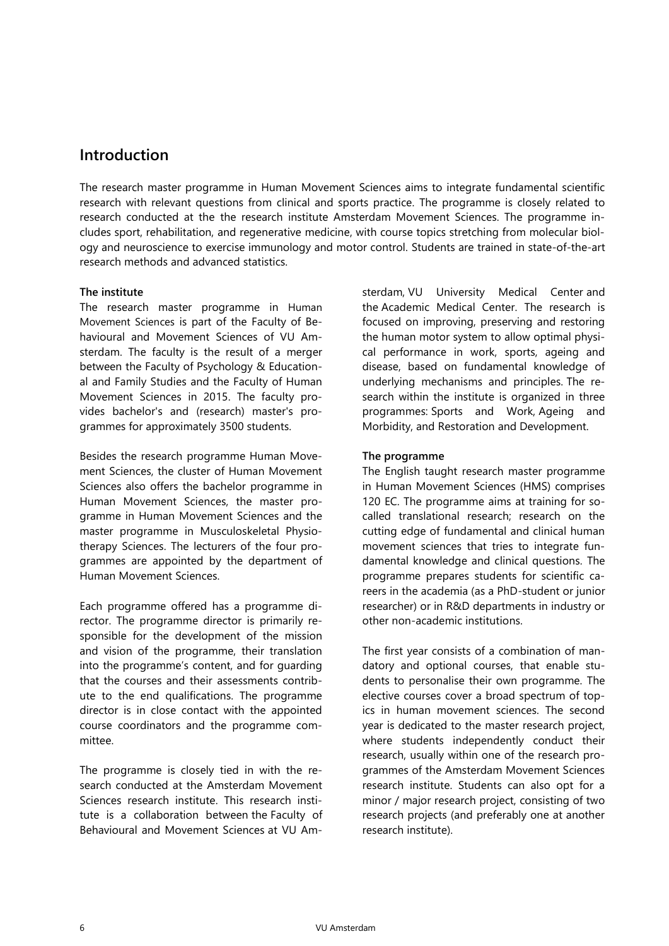### **Introduction**

The research master programme in Human Movement Sciences aims to integrate fundamental scientific research with relevant questions from clinical and sports practice. The programme is closely related to research conducted at the the research institute Amsterdam Movement Sciences. The programme includes sport, rehabilitation, and regenerative medicine, with course topics stretching from molecular biology and neuroscience to exercise immunology and motor control. Students are trained in state-of-the-art research methods and advanced statistics.

#### **The institute**

The research master programme in Human Movement Sciences is part of the Faculty of Behavioural and Movement Sciences of VU Amsterdam. The faculty is the result of a merger between the Faculty of Psychology & Educational and Family Studies and the Faculty of Human Movement Sciences in 2015. The faculty provides bachelor's and (research) master's programmes for approximately 3500 students.

Besides the research programme Human Movement Sciences, the cluster of Human Movement Sciences also offers the bachelor programme in Human Movement Sciences, the master programme in Human Movement Sciences and the master programme in Musculoskeletal Physiotherapy Sciences. The lecturers of the four programmes are appointed by the department of Human Movement Sciences.

Each programme offered has a programme director. The programme director is primarily responsible for the development of the mission and vision of the programme, their translation into the programme's content, and for guarding that the courses and their assessments contribute to the end qualifications. The programme director is in close contact with the appointed course coordinators and the programme committee.

The programme is closely tied in with the research conducted at the Amsterdam Movement Sciences research institute. This research institute is a collaboration between the Faculty of Behavioural and Movement Sciences at VU Amsterdam, VU University Medical Center and the Academic Medical Center. The research is focused on improving, preserving and restoring the human motor system to allow optimal physical performance in work, sports, ageing and disease, based on fundamental knowledge of underlying mechanisms and principles. The research within the institute is organized in three programmes: Sports and Work, Ageing and Morbidity, and Restoration and Development.

#### **The programme**

The English taught research master programme in Human Movement Sciences (HMS) comprises 120 EC. The programme aims at training for socalled translational research; research on the cutting edge of fundamental and clinical human movement sciences that tries to integrate fundamental knowledge and clinical questions. The programme prepares students for scientific careers in the academia (as a PhD-student or junior researcher) or in R&D departments in industry or other non-academic institutions.

The first year consists of a combination of mandatory and optional courses, that enable students to personalise their own programme. The elective courses cover a broad spectrum of topics in human movement sciences. The second year is dedicated to the master research project, where students independently conduct their research, usually within one of the research programmes of the Amsterdam Movement Sciences research institute. Students can also opt for a minor / major research project, consisting of two research projects (and preferably one at another research institute).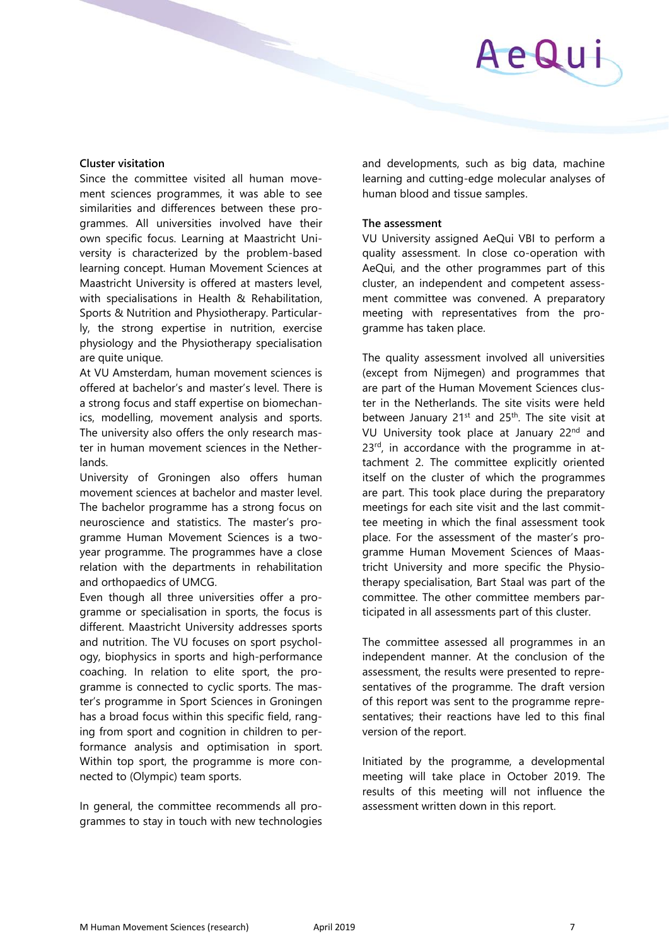# AeQui

#### **Cluster visitation**

Since the committee visited all human movement sciences programmes, it was able to see similarities and differences between these programmes. All universities involved have their own specific focus. Learning at Maastricht University is characterized by the problem-based learning concept. Human Movement Sciences at Maastricht University is offered at masters level, with specialisations in Health & Rehabilitation, Sports & Nutrition and Physiotherapy. Particularly, the strong expertise in nutrition, exercise physiology and the Physiotherapy specialisation are quite unique.

At VU Amsterdam, human movement sciences is offered at bachelor's and master's level. There is a strong focus and staff expertise on biomechanics, modelling, movement analysis and sports. The university also offers the only research master in human movement sciences in the Netherlands.

University of Groningen also offers human movement sciences at bachelor and master level. The bachelor programme has a strong focus on neuroscience and statistics. The master's programme Human Movement Sciences is a twoyear programme. The programmes have a close relation with the departments in rehabilitation and orthopaedics of UMCG.

Even though all three universities offer a programme or specialisation in sports, the focus is different. Maastricht University addresses sports and nutrition. The VU focuses on sport psychology, biophysics in sports and high-performance coaching. In relation to elite sport, the programme is connected to cyclic sports. The master's programme in Sport Sciences in Groningen has a broad focus within this specific field, ranging from sport and cognition in children to performance analysis and optimisation in sport. Within top sport, the programme is more connected to (Olympic) team sports.

In general, the committee recommends all programmes to stay in touch with new technologies and developments, such as big data, machine learning and cutting-edge molecular analyses of human blood and tissue samples.

#### **The assessment**

VU University assigned AeQui VBI to perform a quality assessment. In close co-operation with AeQui, and the other programmes part of this cluster, an independent and competent assessment committee was convened. A preparatory meeting with representatives from the programme has taken place.

The quality assessment involved all universities (except from Nijmegen) and programmes that are part of the Human Movement Sciences cluster in the Netherlands. The site visits were held between January 21<sup>st</sup> and 25<sup>th</sup>. The site visit at VU University took place at January 22<sup>nd</sup> and 23<sup>rd</sup>, in accordance with the programme in attachment 2. The committee explicitly oriented itself on the cluster of which the programmes are part. This took place during the preparatory meetings for each site visit and the last committee meeting in which the final assessment took place. For the assessment of the master's programme Human Movement Sciences of Maastricht University and more specific the Physiotherapy specialisation, Bart Staal was part of the committee. The other committee members participated in all assessments part of this cluster.

The committee assessed all programmes in an independent manner. At the conclusion of the assessment, the results were presented to representatives of the programme. The draft version of this report was sent to the programme representatives; their reactions have led to this final version of the report.

Initiated by the programme, a developmental meeting will take place in October 2019. The results of this meeting will not influence the assessment written down in this report.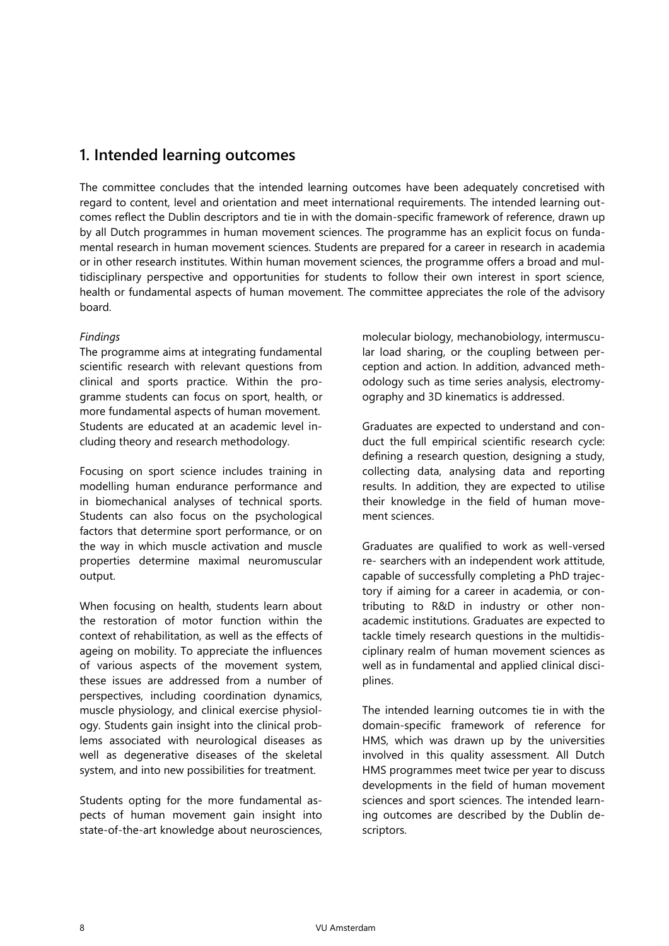## **1. Intended learning outcomes**

The committee concludes that the intended learning outcomes have been adequately concretised with regard to content, level and orientation and meet international requirements. The intended learning outcomes reflect the Dublin descriptors and tie in with the domain-specific framework of reference, drawn up by all Dutch programmes in human movement sciences. The programme has an explicit focus on fundamental research in human movement sciences. Students are prepared for a career in research in academia or in other research institutes. Within human movement sciences, the programme offers a broad and multidisciplinary perspective and opportunities for students to follow their own interest in sport science, health or fundamental aspects of human movement. The committee appreciates the role of the advisory board.

#### *Findings*

The programme aims at integrating fundamental scientific research with relevant questions from clinical and sports practice. Within the programme students can focus on sport, health, or more fundamental aspects of human movement. Students are educated at an academic level including theory and research methodology.

Focusing on sport science includes training in modelling human endurance performance and in biomechanical analyses of technical sports. Students can also focus on the psychological factors that determine sport performance, or on the way in which muscle activation and muscle properties determine maximal neuromuscular output.

When focusing on health, students learn about the restoration of motor function within the context of rehabilitation, as well as the effects of ageing on mobility. To appreciate the influences of various aspects of the movement system, these issues are addressed from a number of perspectives, including coordination dynamics, muscle physiology, and clinical exercise physiology. Students gain insight into the clinical problems associated with neurological diseases as well as degenerative diseases of the skeletal system, and into new possibilities for treatment.

Students opting for the more fundamental aspects of human movement gain insight into state-of-the-art knowledge about neurosciences,

molecular biology, mechanobiology, intermuscular load sharing, or the coupling between perception and action. In addition, advanced methodology such as time series analysis, electromyography and 3D kinematics is addressed.

Graduates are expected to understand and conduct the full empirical scientific research cycle: defining a research question, designing a study, collecting data, analysing data and reporting results. In addition, they are expected to utilise their knowledge in the field of human movement sciences.

Graduates are qualified to work as well-versed re- searchers with an independent work attitude, capable of successfully completing a PhD trajectory if aiming for a career in academia, or contributing to R&D in industry or other nonacademic institutions. Graduates are expected to tackle timely research questions in the multidisciplinary realm of human movement sciences as well as in fundamental and applied clinical disciplines.

The intended learning outcomes tie in with the domain-specific framework of reference for HMS, which was drawn up by the universities involved in this quality assessment. All Dutch HMS programmes meet twice per year to discuss developments in the field of human movement sciences and sport sciences. The intended learning outcomes are described by the Dublin descriptors.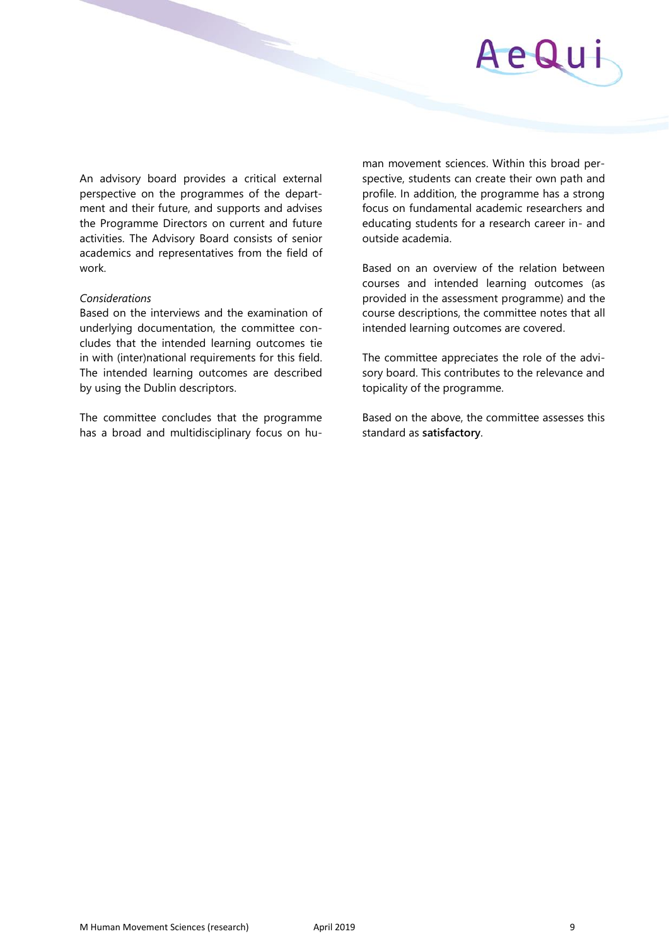

An advisory board provides a critical external perspective on the programmes of the department and their future, and supports and advises the Programme Directors on current and future activities. The Advisory Board consists of senior academics and representatives from the field of work.

#### *Considerations*

Based on the interviews and the examination of underlying documentation, the committee concludes that the intended learning outcomes tie in with (inter)national requirements for this field. The intended learning outcomes are described by using the Dublin descriptors.

The committee concludes that the programme has a broad and multidisciplinary focus on human movement sciences. Within this broad perspective, students can create their own path and profile. In addition, the programme has a strong focus on fundamental academic researchers and educating students for a research career in- and outside academia.

Based on an overview of the relation between courses and intended learning outcomes (as provided in the assessment programme) and the course descriptions, the committee notes that all intended learning outcomes are covered.

The committee appreciates the role of the advisory board. This contributes to the relevance and topicality of the programme.

Based on the above, the committee assesses this standard as **satisfactory**.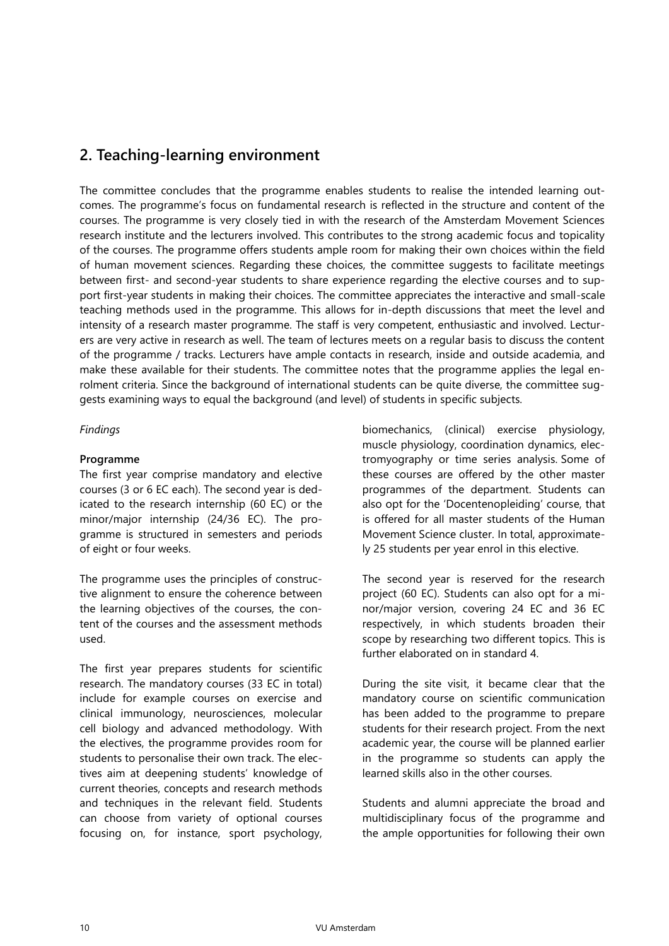## **2. Teaching-learning environment**

The committee concludes that the programme enables students to realise the intended learning outcomes. The programme's focus on fundamental research is reflected in the structure and content of the courses. The programme is very closely tied in with the research of the Amsterdam Movement Sciences research institute and the lecturers involved. This contributes to the strong academic focus and topicality of the courses. The programme offers students ample room for making their own choices within the field of human movement sciences. Regarding these choices, the committee suggests to facilitate meetings between first- and second-year students to share experience regarding the elective courses and to support first-year students in making their choices. The committee appreciates the interactive and small-scale teaching methods used in the programme. This allows for in-depth discussions that meet the level and intensity of a research master programme. The staff is very competent, enthusiastic and involved. Lecturers are very active in research as well. The team of lectures meets on a regular basis to discuss the content of the programme / tracks. Lecturers have ample contacts in research, inside and outside academia, and make these available for their students. The committee notes that the programme applies the legal enrolment criteria. Since the background of international students can be quite diverse, the committee suggests examining ways to equal the background (and level) of students in specific subjects.

#### *Findings*

#### **Programme**

The first year comprise mandatory and elective courses (3 or 6 EC each). The second year is dedicated to the research internship (60 EC) or the minor/major internship (24/36 EC). The programme is structured in semesters and periods of eight or four weeks.

The programme uses the principles of constructive alignment to ensure the coherence between the learning objectives of the courses, the content of the courses and the assessment methods used.

The first year prepares students for scientific research. The mandatory courses (33 EC in total) include for example courses on exercise and clinical immunology, neurosciences, molecular cell biology and advanced methodology. With the electives, the programme provides room for students to personalise their own track. The electives aim at deepening students' knowledge of current theories, concepts and research methods and techniques in the relevant field. Students can choose from variety of optional courses focusing on, for instance, sport psychology,

biomechanics, (clinical) exercise physiology, muscle physiology, coordination dynamics, electromyography or time series analysis. Some of these courses are offered by the other master programmes of the department. Students can also opt for the 'Docentenopleiding' course, that is offered for all master students of the Human Movement Science cluster. In total, approximately 25 students per year enrol in this elective.

The second year is reserved for the research project (60 EC). Students can also opt for a minor/major version, covering 24 EC and 36 EC respectively, in which students broaden their scope by researching two different topics. This is further elaborated on in standard 4.

During the site visit, it became clear that the mandatory course on scientific communication has been added to the programme to prepare students for their research project. From the next academic year, the course will be planned earlier in the programme so students can apply the learned skills also in the other courses.

Students and alumni appreciate the broad and multidisciplinary focus of the programme and the ample opportunities for following their own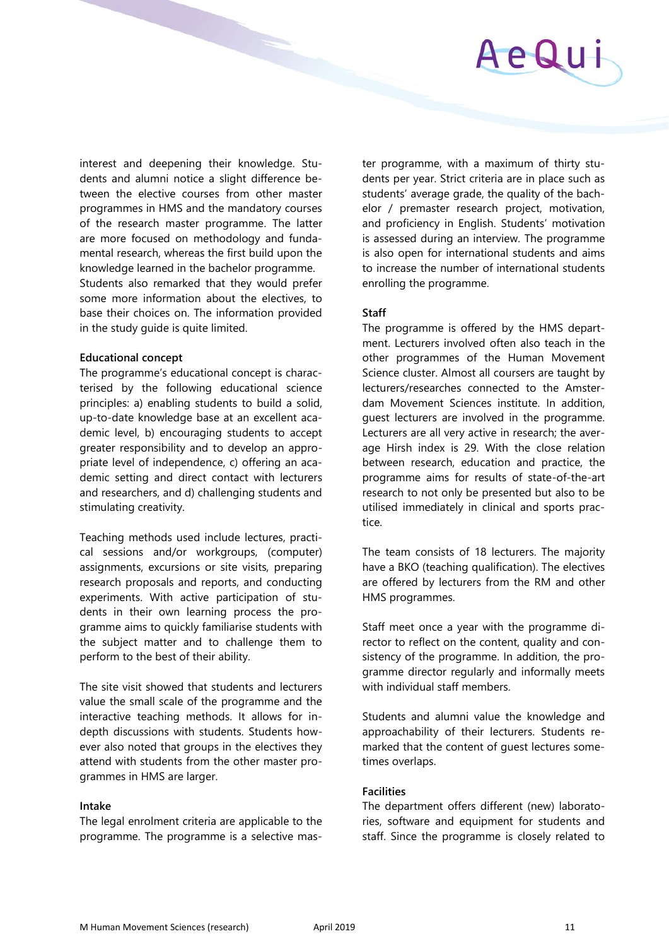

interest and deepening their knowledge. Students and alumni notice a slight difference between the elective courses from other master programmes in HMS and the mandatory courses of the research master programme. The latter are more focused on methodology and fundamental research, whereas the first build upon the knowledge learned in the bachelor programme. Students also remarked that they would prefer some more information about the electives, to base their choices on. The information provided in the study guide is quite limited.

#### **Educational concept**

The programme's educational concept is characterised by the following educational science principles: a) enabling students to build a solid, up-to-date knowledge base at an excellent academic level, b) encouraging students to accept greater responsibility and to develop an appropriate level of independence, c) offering an academic setting and direct contact with lecturers and researchers, and d) challenging students and stimulating creativity.

Teaching methods used include lectures, practical sessions and/or workgroups, (computer) assignments, excursions or site visits, preparing research proposals and reports, and conducting experiments. With active participation of students in their own learning process the programme aims to quickly familiarise students with the subject matter and to challenge them to perform to the best of their ability.

The site visit showed that students and lecturers value the small scale of the programme and the interactive teaching methods. It allows for indepth discussions with students. Students however also noted that groups in the electives they attend with students from the other master programmes in HMS are larger.

#### **Intake**

The legal enrolment criteria are applicable to the programme. The programme is a selective master programme, with a maximum of thirty students per year. Strict criteria are in place such as students' average grade, the quality of the bachelor / premaster research project, motivation, and proficiency in English. Students' motivation is assessed during an interview. The programme is also open for international students and aims to increase the number of international students enrolling the programme.

#### **Staff**

The programme is offered by the HMS department. Lecturers involved often also teach in the other programmes of the Human Movement Science cluster. Almost all coursers are taught by lecturers/researches connected to the Amsterdam Movement Sciences institute. In addition, guest lecturers are involved in the programme. Lecturers are all very active in research; the average Hirsh index is 29. With the close relation between research, education and practice, the programme aims for results of state-of-the-art research to not only be presented but also to be utilised immediately in clinical and sports practice.

The team consists of 18 lecturers. The majority have a BKO (teaching qualification). The electives are offered by lecturers from the RM and other HMS programmes.

Staff meet once a year with the programme director to reflect on the content, quality and consistency of the programme. In addition, the programme director regularly and informally meets with individual staff members.

Students and alumni value the knowledge and approachability of their lecturers. Students remarked that the content of guest lectures sometimes overlaps.

#### **Facilities**

The department offers different (new) laboratories, software and equipment for students and staff. Since the programme is closely related to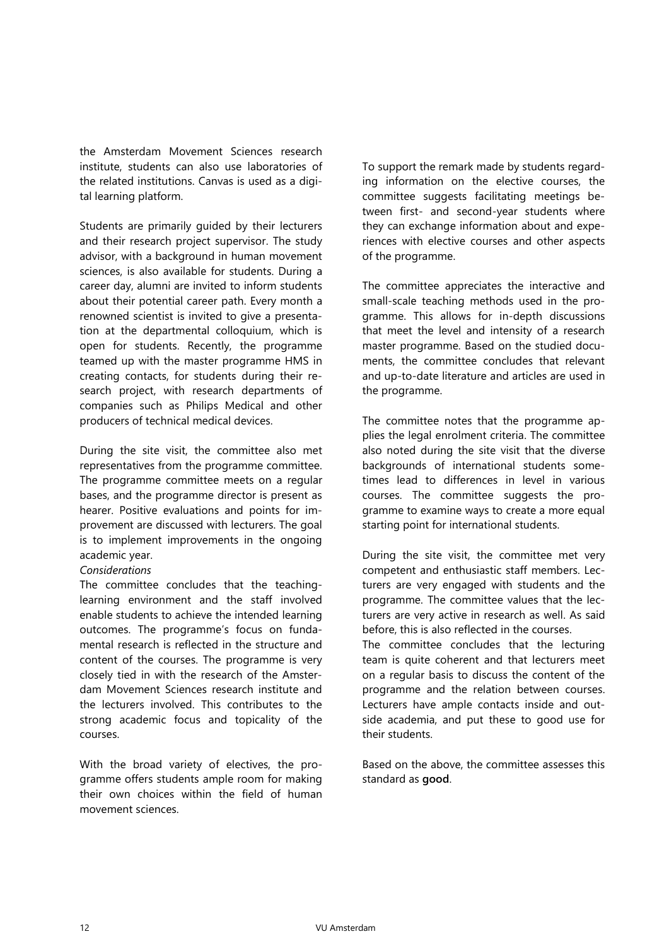the Amsterdam Movement Sciences research institute, students can also use laboratories of the related institutions. Canvas is used as a digital learning platform.

Students are primarily guided by their lecturers and their research project supervisor. The study advisor, with a background in human movement sciences, is also available for students. During a career day, alumni are invited to inform students about their potential career path. Every month a renowned scientist is invited to give a presentation at the departmental colloquium, which is open for students. Recently, the programme teamed up with the master programme HMS in creating contacts, for students during their research project, with research departments of companies such as Philips Medical and other producers of technical medical devices.

During the site visit, the committee also met representatives from the programme committee. The programme committee meets on a regular bases, and the programme director is present as hearer. Positive evaluations and points for improvement are discussed with lecturers. The goal is to implement improvements in the ongoing academic year.

#### *Considerations*

The committee concludes that the teachinglearning environment and the staff involved enable students to achieve the intended learning outcomes. The programme's focus on fundamental research is reflected in the structure and content of the courses. The programme is very closely tied in with the research of the Amsterdam Movement Sciences research institute and the lecturers involved. This contributes to the strong academic focus and topicality of the courses.

With the broad variety of electives, the programme offers students ample room for making their own choices within the field of human movement sciences.

To support the remark made by students regarding information on the elective courses, the committee suggests facilitating meetings between first- and second-year students where they can exchange information about and experiences with elective courses and other aspects of the programme.

The committee appreciates the interactive and small-scale teaching methods used in the programme. This allows for in-depth discussions that meet the level and intensity of a research master programme. Based on the studied documents, the committee concludes that relevant and up-to-date literature and articles are used in the programme.

The committee notes that the programme applies the legal enrolment criteria. The committee also noted during the site visit that the diverse backgrounds of international students sometimes lead to differences in level in various courses. The committee suggests the programme to examine ways to create a more equal starting point for international students.

During the site visit, the committee met very competent and enthusiastic staff members. Lecturers are very engaged with students and the programme. The committee values that the lecturers are very active in research as well. As said before, this is also reflected in the courses. The committee concludes that the lecturing

team is quite coherent and that lecturers meet on a regular basis to discuss the content of the programme and the relation between courses. Lecturers have ample contacts inside and outside academia, and put these to good use for their students.

Based on the above, the committee assesses this standard as **good**.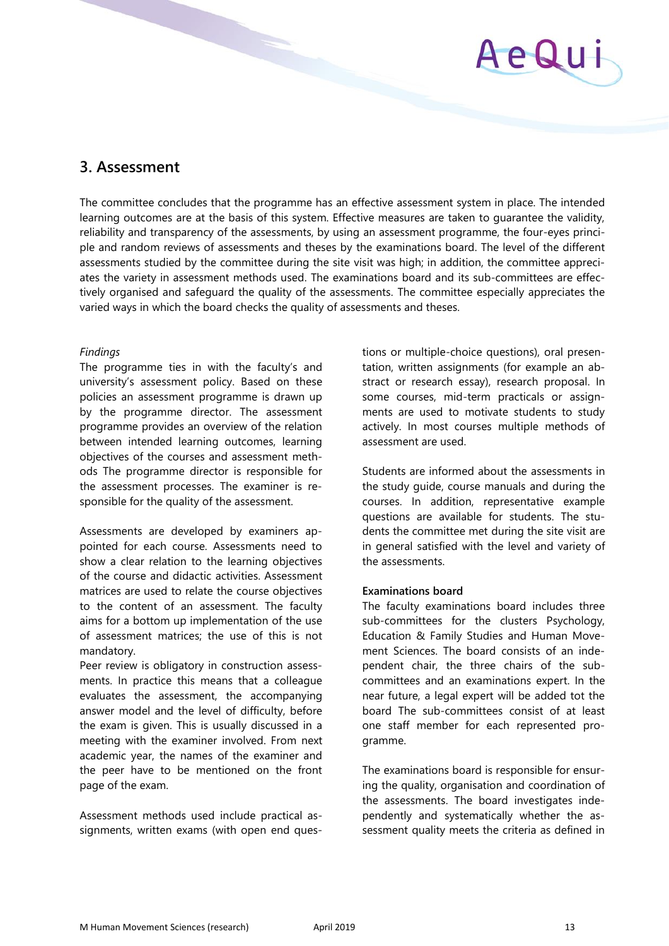

### **3. Assessment**

The committee concludes that the programme has an effective assessment system in place. The intended learning outcomes are at the basis of this system. Effective measures are taken to guarantee the validity, reliability and transparency of the assessments, by using an assessment programme, the four-eyes principle and random reviews of assessments and theses by the examinations board. The level of the different assessments studied by the committee during the site visit was high; in addition, the committee appreciates the variety in assessment methods used. The examinations board and its sub-committees are effectively organised and safeguard the quality of the assessments. The committee especially appreciates the varied ways in which the board checks the quality of assessments and theses.

#### *Findings*

The programme ties in with the faculty's and university's assessment policy. Based on these policies an assessment programme is drawn up by the programme director. The assessment programme provides an overview of the relation between intended learning outcomes, learning objectives of the courses and assessment methods The programme director is responsible for the assessment processes. The examiner is responsible for the quality of the assessment.

Assessments are developed by examiners appointed for each course. Assessments need to show a clear relation to the learning objectives of the course and didactic activities. Assessment matrices are used to relate the course objectives to the content of an assessment. The faculty aims for a bottom up implementation of the use of assessment matrices; the use of this is not mandatory.

Peer review is obligatory in construction assessments. In practice this means that a colleague evaluates the assessment, the accompanying answer model and the level of difficulty, before the exam is given. This is usually discussed in a meeting with the examiner involved. From next academic year, the names of the examiner and the peer have to be mentioned on the front page of the exam.

Assessment methods used include practical assignments, written exams (with open end questions or multiple-choice questions), oral presentation, written assignments (for example an abstract or research essay), research proposal. In some courses, mid-term practicals or assignments are used to motivate students to study actively. In most courses multiple methods of assessment are used.

Students are informed about the assessments in the study guide, course manuals and during the courses. In addition, representative example questions are available for students. The students the committee met during the site visit are in general satisfied with the level and variety of the assessments.

#### **Examinations board**

The faculty examinations board includes three sub-committees for the clusters Psychology, Education & Family Studies and Human Movement Sciences. The board consists of an independent chair, the three chairs of the subcommittees and an examinations expert. In the near future, a legal expert will be added tot the board The sub-committees consist of at least one staff member for each represented programme.

The examinations board is responsible for ensuring the quality, organisation and coordination of the assessments. The board investigates independently and systematically whether the assessment quality meets the criteria as defined in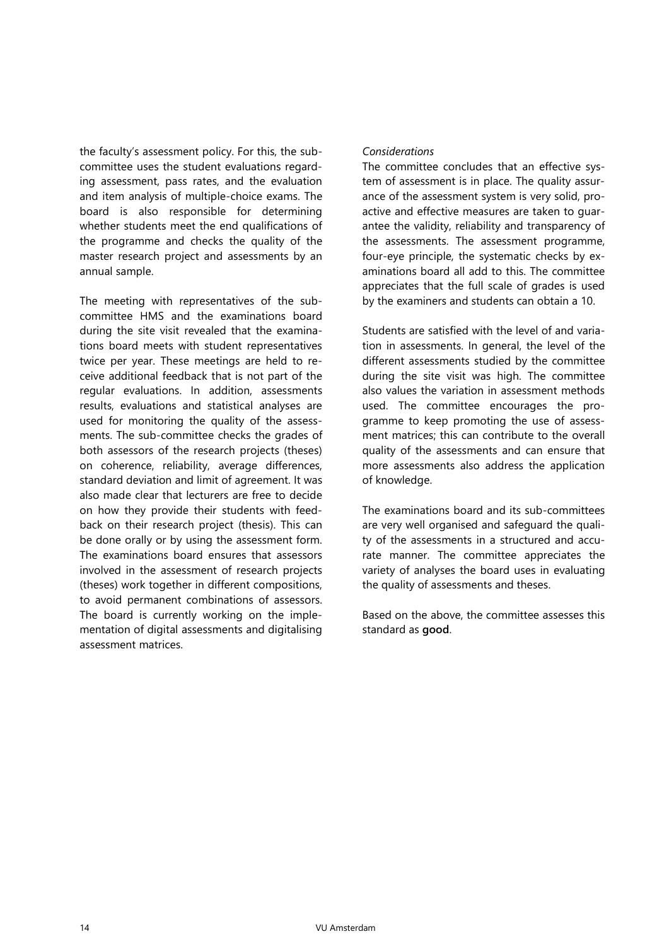the faculty's assessment policy. For this, the subcommittee uses the student evaluations regarding assessment, pass rates, and the evaluation and item analysis of multiple-choice exams. The board is also responsible for determining whether students meet the end qualifications of the programme and checks the quality of the master research project and assessments by an annual sample.

The meeting with representatives of the subcommittee HMS and the examinations board during the site visit revealed that the examinations board meets with student representatives twice per year. These meetings are held to receive additional feedback that is not part of the regular evaluations. In addition, assessments results, evaluations and statistical analyses are used for monitoring the quality of the assessments. The sub-committee checks the grades of both assessors of the research projects (theses) on coherence, reliability, average differences, standard deviation and limit of agreement. It was also made clear that lecturers are free to decide on how they provide their students with feedback on their research project (thesis). This can be done orally or by using the assessment form. The examinations board ensures that assessors involved in the assessment of research projects (theses) work together in different compositions, to avoid permanent combinations of assessors. The board is currently working on the implementation of digital assessments and digitalising assessment matrices.

#### *Considerations*

The committee concludes that an effective system of assessment is in place. The quality assurance of the assessment system is very solid, proactive and effective measures are taken to guarantee the validity, reliability and transparency of the assessments. The assessment programme, four-eye principle, the systematic checks by examinations board all add to this. The committee appreciates that the full scale of grades is used by the examiners and students can obtain a 10.

Students are satisfied with the level of and variation in assessments. In general, the level of the different assessments studied by the committee during the site visit was high. The committee also values the variation in assessment methods used. The committee encourages the programme to keep promoting the use of assessment matrices; this can contribute to the overall quality of the assessments and can ensure that more assessments also address the application of knowledge.

The examinations board and its sub-committees are very well organised and safeguard the quality of the assessments in a structured and accurate manner. The committee appreciates the variety of analyses the board uses in evaluating the quality of assessments and theses.

Based on the above, the committee assesses this standard as **good**.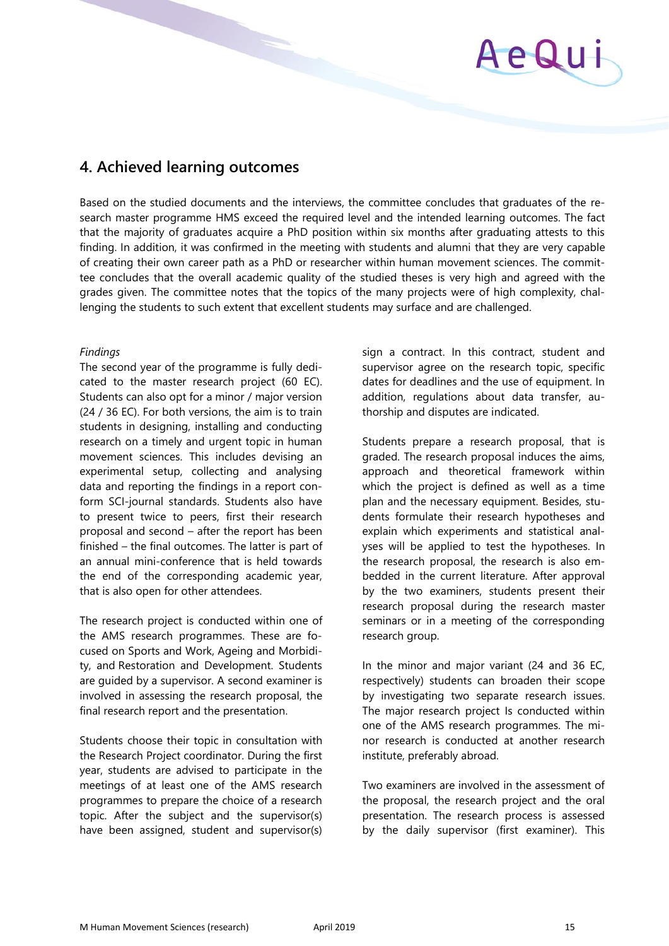

## **4. Achieved learning outcomes**

Based on the studied documents and the interviews, the committee concludes that graduates of the research master programme HMS exceed the required level and the intended learning outcomes. The fact that the majority of graduates acquire a PhD position within six months after graduating attests to this finding. In addition, it was confirmed in the meeting with students and alumni that they are very capable of creating their own career path as a PhD or researcher within human movement sciences. The committee concludes that the overall academic quality of the studied theses is very high and agreed with the grades given. The committee notes that the topics of the many projects were of high complexity, challenging the students to such extent that excellent students may surface and are challenged.

#### *Findings*

The second year of the programme is fully dedicated to the master research project (60 EC). Students can also opt for a minor / major version (24 / 36 EC). For both versions, the aim is to train students in designing, installing and conducting research on a timely and urgent topic in human movement sciences. This includes devising an experimental setup, collecting and analysing data and reporting the findings in a report conform SCI-journal standards. Students also have to present twice to peers, first their research proposal and second – after the report has been finished – the final outcomes. The latter is part of an annual mini-conference that is held towards the end of the corresponding academic year, that is also open for other attendees.

The research project is conducted within one of the AMS research programmes. These are focused on Sports and Work, Ageing and Morbidity, and Restoration and Development. Students are guided by a supervisor. A second examiner is involved in assessing the research proposal, the final research report and the presentation.

Students choose their topic in consultation with the Research Project coordinator. During the first year, students are advised to participate in the meetings of at least one of the AMS research programmes to prepare the choice of a research topic. After the subject and the supervisor(s) have been assigned, student and supervisor(s) sign a contract. In this contract, student and supervisor agree on the research topic, specific dates for deadlines and the use of equipment. In addition, regulations about data transfer, authorship and disputes are indicated.

Students prepare a research proposal, that is graded. The research proposal induces the aims, approach and theoretical framework within which the project is defined as well as a time plan and the necessary equipment. Besides, students formulate their research hypotheses and explain which experiments and statistical analyses will be applied to test the hypotheses. In the research proposal, the research is also embedded in the current literature. After approval by the two examiners, students present their research proposal during the research master seminars or in a meeting of the corresponding research group.

In the minor and major variant (24 and 36 EC, respectively) students can broaden their scope by investigating two separate research issues. The major research project Is conducted within one of the AMS research programmes. The minor research is conducted at another research institute, preferably abroad.

Two examiners are involved in the assessment of the proposal, the research project and the oral presentation. The research process is assessed by the daily supervisor (first examiner). This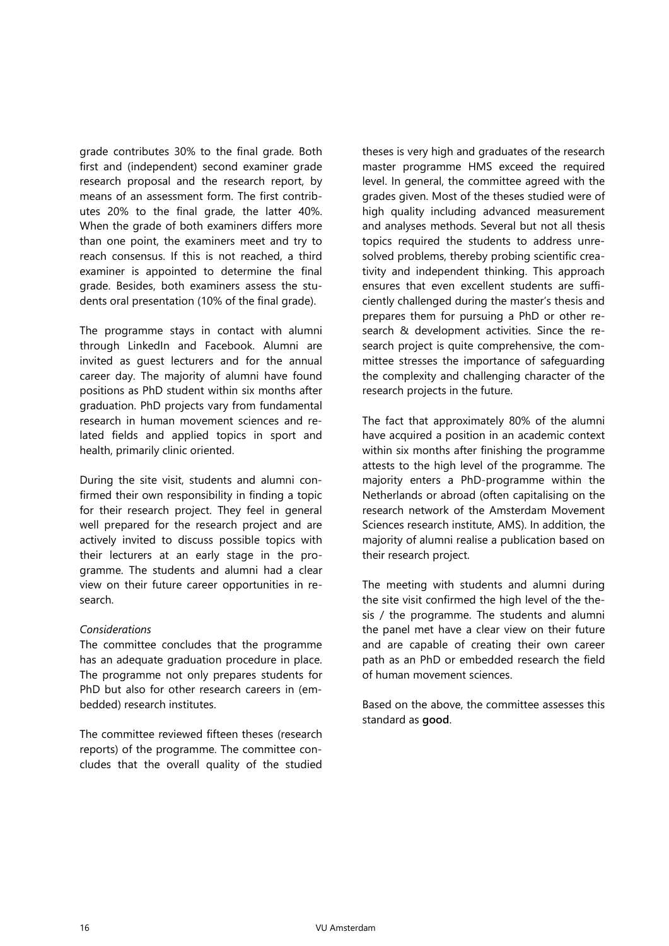grade contributes 30% to the final grade. Both first and (independent) second examiner grade research proposal and the research report, by means of an assessment form. The first contributes 20% to the final grade, the latter 40%. When the grade of both examiners differs more than one point, the examiners meet and try to reach consensus. If this is not reached, a third examiner is appointed to determine the final grade. Besides, both examiners assess the students oral presentation (10% of the final grade).

The programme stays in contact with alumni through LinkedIn and Facebook. Alumni are invited as guest lecturers and for the annual career day. The majority of alumni have found positions as PhD student within six months after graduation. PhD projects vary from fundamental research in human movement sciences and related fields and applied topics in sport and health, primarily clinic oriented.

During the site visit, students and alumni confirmed their own responsibility in finding a topic for their research project. They feel in general well prepared for the research project and are actively invited to discuss possible topics with their lecturers at an early stage in the programme. The students and alumni had a clear view on their future career opportunities in research.

#### *Considerations*

The committee concludes that the programme has an adequate graduation procedure in place. The programme not only prepares students for PhD but also for other research careers in (embedded) research institutes.

The committee reviewed fifteen theses (research reports) of the programme. The committee concludes that the overall quality of the studied

theses is very high and graduates of the research master programme HMS exceed the required level. In general, the committee agreed with the grades given. Most of the theses studied were of high quality including advanced measurement and analyses methods. Several but not all thesis topics required the students to address unresolved problems, thereby probing scientific creativity and independent thinking. This approach ensures that even excellent students are sufficiently challenged during the master's thesis and prepares them for pursuing a PhD or other research & development activities. Since the research project is quite comprehensive, the committee stresses the importance of safeguarding the complexity and challenging character of the research projects in the future.

The fact that approximately 80% of the alumni have acquired a position in an academic context within six months after finishing the programme attests to the high level of the programme. The majority enters a PhD-programme within the Netherlands or abroad (often capitalising on the research network of the Amsterdam Movement Sciences research institute, AMS). In addition, the majority of alumni realise a publication based on their research project.

The meeting with students and alumni during the site visit confirmed the high level of the thesis / the programme. The students and alumni the panel met have a clear view on their future and are capable of creating their own career path as an PhD or embedded research the field of human movement sciences.

Based on the above, the committee assesses this standard as **good**.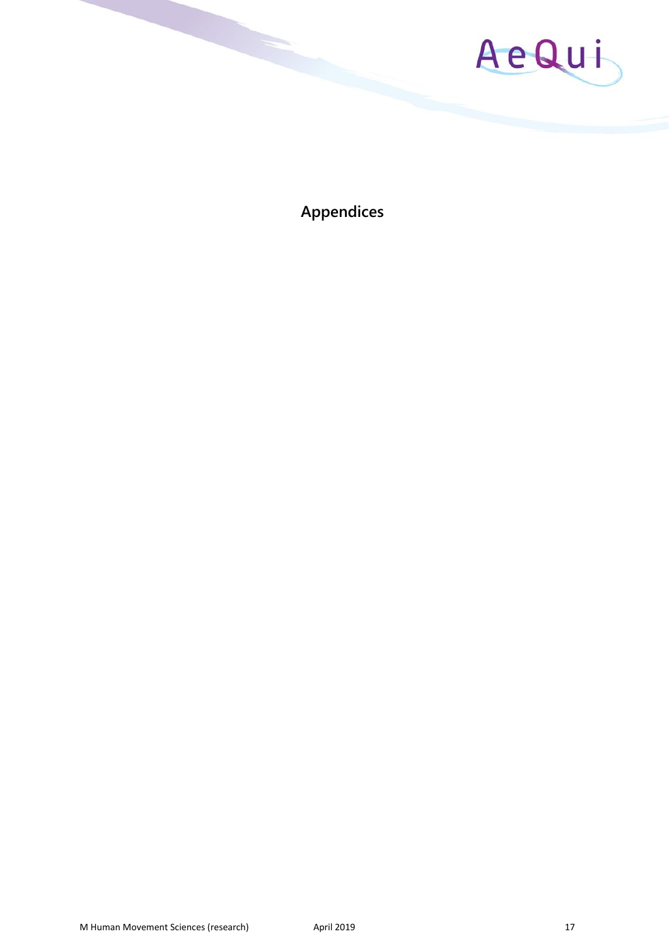

**Appendices**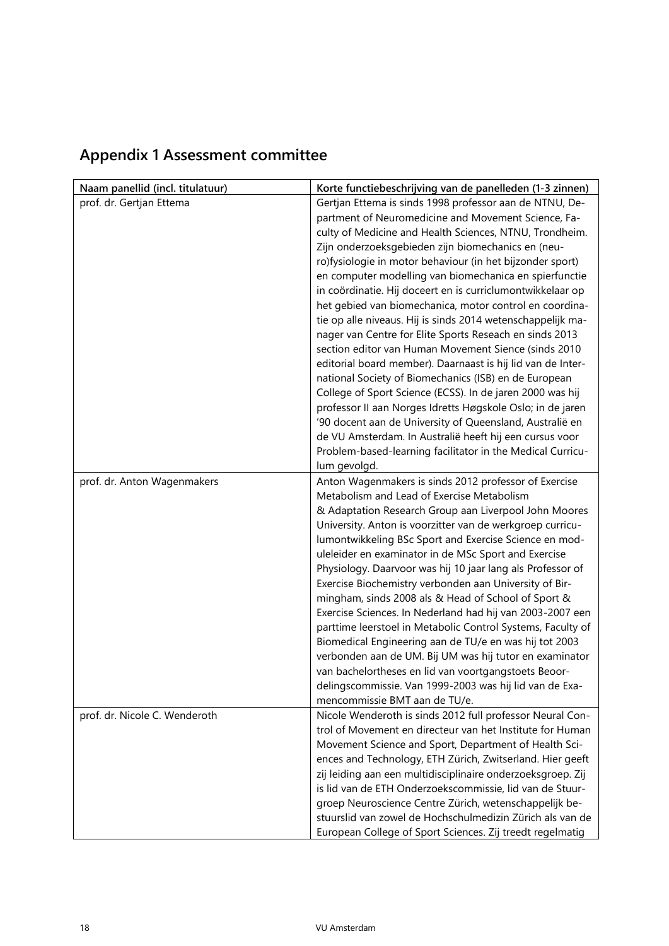| Naam panellid (incl. titulatuur) | Korte functiebeschrijving van de panelleden (1-3 zinnen)                                                          |
|----------------------------------|-------------------------------------------------------------------------------------------------------------------|
| prof. dr. Gertjan Ettema         | Gertjan Ettema is sinds 1998 professor aan de NTNU, De-                                                           |
|                                  | partment of Neuromedicine and Movement Science, Fa-                                                               |
|                                  | culty of Medicine and Health Sciences, NTNU, Trondheim.                                                           |
|                                  | Zijn onderzoeksgebieden zijn biomechanics en (neu-                                                                |
|                                  | ro)fysiologie in motor behaviour (in het bijzonder sport)                                                         |
|                                  | en computer modelling van biomechanica en spierfunctie                                                            |
|                                  | in coördinatie. Hij doceert en is curriclumontwikkelaar op                                                        |
|                                  | het gebied van biomechanica, motor control en coordina-                                                           |
|                                  | tie op alle niveaus. Hij is sinds 2014 wetenschappelijk ma-                                                       |
|                                  | nager van Centre for Elite Sports Reseach en sinds 2013                                                           |
|                                  | section editor van Human Movement Sience (sinds 2010                                                              |
|                                  | editorial board member). Daarnaast is hij lid van de Inter-                                                       |
|                                  | national Society of Biomechanics (ISB) en de European                                                             |
|                                  | College of Sport Science (ECSS). In de jaren 2000 was hij                                                         |
|                                  | professor II aan Norges Idretts Høgskole Oslo; in de jaren                                                        |
|                                  | '90 docent aan de University of Queensland, Australië en                                                          |
|                                  | de VU Amsterdam. In Australië heeft hij een cursus voor                                                           |
|                                  | Problem-based-learning facilitator in the Medical Curricu-                                                        |
|                                  | lum gevolgd.                                                                                                      |
| prof. dr. Anton Wagenmakers      | Anton Wagenmakers is sinds 2012 professor of Exercise                                                             |
|                                  | Metabolism and Lead of Exercise Metabolism                                                                        |
|                                  | & Adaptation Research Group aan Liverpool John Moores                                                             |
|                                  | University. Anton is voorzitter van de werkgroep curricu-                                                         |
|                                  | lumontwikkeling BSc Sport and Exercise Science en mod-                                                            |
|                                  | uleleider en examinator in de MSc Sport and Exercise                                                              |
|                                  | Physiology. Daarvoor was hij 10 jaar lang als Professor of                                                        |
|                                  | Exercise Biochemistry verbonden aan University of Bir-                                                            |
|                                  | mingham, sinds 2008 als & Head of School of Sport &                                                               |
|                                  | Exercise Sciences. In Nederland had hij van 2003-2007 een                                                         |
|                                  | parttime leerstoel in Metabolic Control Systems, Faculty of                                                       |
|                                  | Biomedical Engineering aan de TU/e en was hij tot 2003<br>verbonden aan de UM. Bij UM was hij tutor en examinator |
|                                  | van bachelortheses en lid van voortgangstoets Beoor-                                                              |
|                                  | delingscommissie. Van 1999-2003 was hij lid van de Exa-                                                           |
|                                  | mencommissie BMT aan de TU/e.                                                                                     |
| prof. dr. Nicole C. Wenderoth    | Nicole Wenderoth is sinds 2012 full professor Neural Con-                                                         |
|                                  | trol of Movement en directeur van het Institute for Human                                                         |
|                                  | Movement Science and Sport, Department of Health Sci-                                                             |
|                                  | ences and Technology, ETH Zürich, Zwitserland. Hier geeft                                                         |
|                                  | zij leiding aan een multidisciplinaire onderzoeksgroep. Zij                                                       |
|                                  | is lid van de ETH Onderzoekscommissie, lid van de Stuur-                                                          |
|                                  | groep Neuroscience Centre Zürich, wetenschappelijk be-                                                            |
|                                  | stuurslid van zowel de Hochschulmedizin Zürich als van de                                                         |
|                                  | European College of Sport Sciences. Zij treedt regelmatig                                                         |

## **Appendix 1 Assessment committee**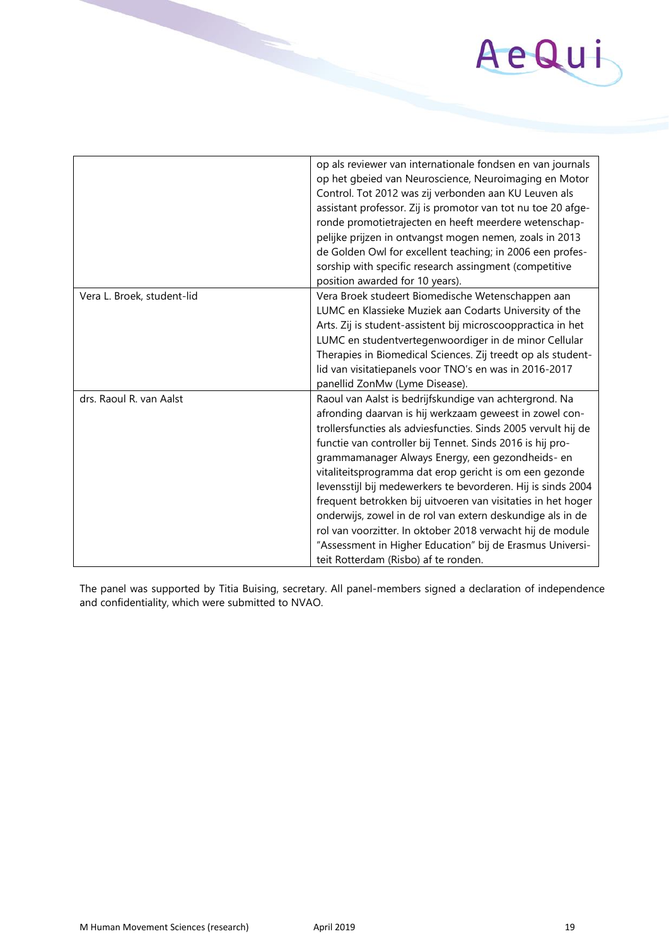# AeQui

|                            | op als reviewer van internationale fondsen en van journals<br>op het gbeied van Neuroscience, Neuroimaging en Motor<br>Control. Tot 2012 was zij verbonden aan KU Leuven als<br>assistant professor. Zij is promotor van tot nu toe 20 afge-<br>ronde promotietrajecten en heeft meerdere wetenschap-<br>pelijke prijzen in ontvangst mogen nemen, zoals in 2013<br>de Golden Owl for excellent teaching; in 2006 een profes-<br>sorship with specific research assingment (competitive<br>position awarded for 10 years).                                                                                                                                                                                                       |
|----------------------------|----------------------------------------------------------------------------------------------------------------------------------------------------------------------------------------------------------------------------------------------------------------------------------------------------------------------------------------------------------------------------------------------------------------------------------------------------------------------------------------------------------------------------------------------------------------------------------------------------------------------------------------------------------------------------------------------------------------------------------|
| Vera L. Broek, student-lid | Vera Broek studeert Biomedische Wetenschappen aan<br>LUMC en Klassieke Muziek aan Codarts University of the<br>Arts. Zij is student-assistent bij microscooppractica in het<br>LUMC en studentvertegenwoordiger in de minor Cellular<br>Therapies in Biomedical Sciences. Zij treedt op als student-<br>lid van visitatiepanels voor TNO's en was in 2016-2017<br>panellid ZonMw (Lyme Disease).                                                                                                                                                                                                                                                                                                                                 |
| drs. Raoul R. van Aalst    | Raoul van Aalst is bedrijfskundige van achtergrond. Na<br>afronding daarvan is hij werkzaam geweest in zowel con-<br>trollersfuncties als adviesfuncties. Sinds 2005 vervult hij de<br>functie van controller bij Tennet. Sinds 2016 is hij pro-<br>grammamanager Always Energy, een gezondheids- en<br>vitaliteitsprogramma dat erop gericht is om een gezonde<br>levensstijl bij medewerkers te bevorderen. Hij is sinds 2004<br>frequent betrokken bij uitvoeren van visitaties in het hoger<br>onderwijs, zowel in de rol van extern deskundige als in de<br>rol van voorzitter. In oktober 2018 verwacht hij de module<br>"Assessment in Higher Education" bij de Erasmus Universi-<br>teit Rotterdam (Risbo) af te ronden. |

The panel was supported by Titia Buising, secretary. All panel-members signed a declaration of independence and confidentiality, which were submitted to NVAO.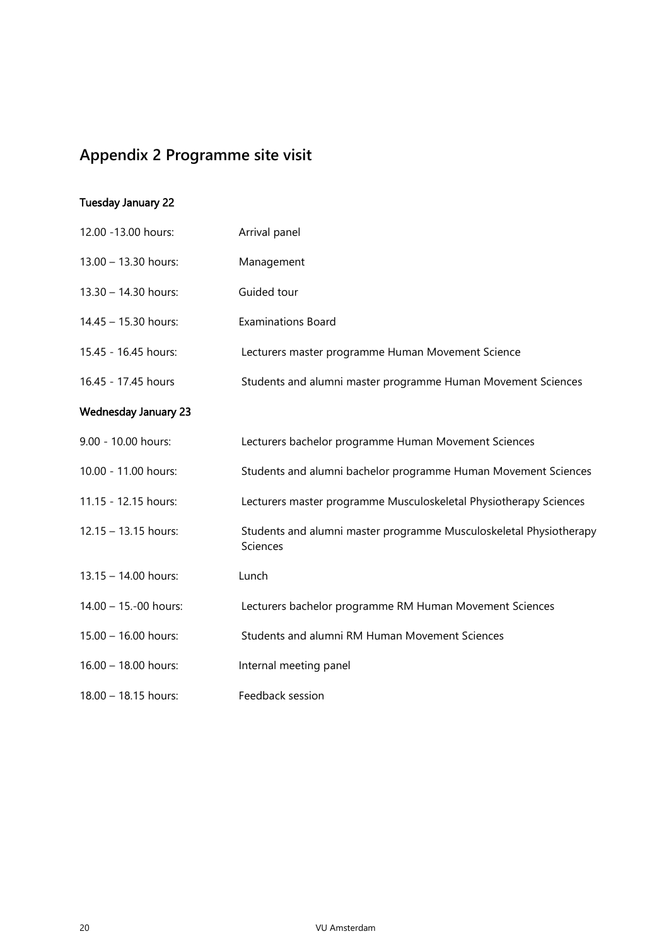## **Appendix 2 Programme site visit**

#### Tuesday January 22

| 12.00 - 13.00 hours:        | Arrival panel                                                                  |
|-----------------------------|--------------------------------------------------------------------------------|
| 13.00 - 13.30 hours:        | Management                                                                     |
| 13.30 - 14.30 hours:        | Guided tour                                                                    |
| 14.45 - 15.30 hours:        | <b>Examinations Board</b>                                                      |
| 15.45 - 16.45 hours:        | Lecturers master programme Human Movement Science                              |
| 16.45 - 17.45 hours         | Students and alumni master programme Human Movement Sciences                   |
| <b>Wednesday January 23</b> |                                                                                |
| 9.00 - 10.00 hours:         | Lecturers bachelor programme Human Movement Sciences                           |
| 10.00 - 11.00 hours:        | Students and alumni bachelor programme Human Movement Sciences                 |
| 11.15 - 12.15 hours:        | Lecturers master programme Musculoskeletal Physiotherapy Sciences              |
| 12.15 - 13.15 hours:        | Students and alumni master programme Musculoskeletal Physiotherapy<br>Sciences |
| 13.15 - 14.00 hours:        | Lunch                                                                          |
| 14.00 - 15.-00 hours:       | Lecturers bachelor programme RM Human Movement Sciences                        |
| 15.00 - 16.00 hours:        | Students and alumni RM Human Movement Sciences                                 |
| 16.00 - 18.00 hours:        | Internal meeting panel                                                         |
| 18.00 - 18.15 hours:        | Feedback session                                                               |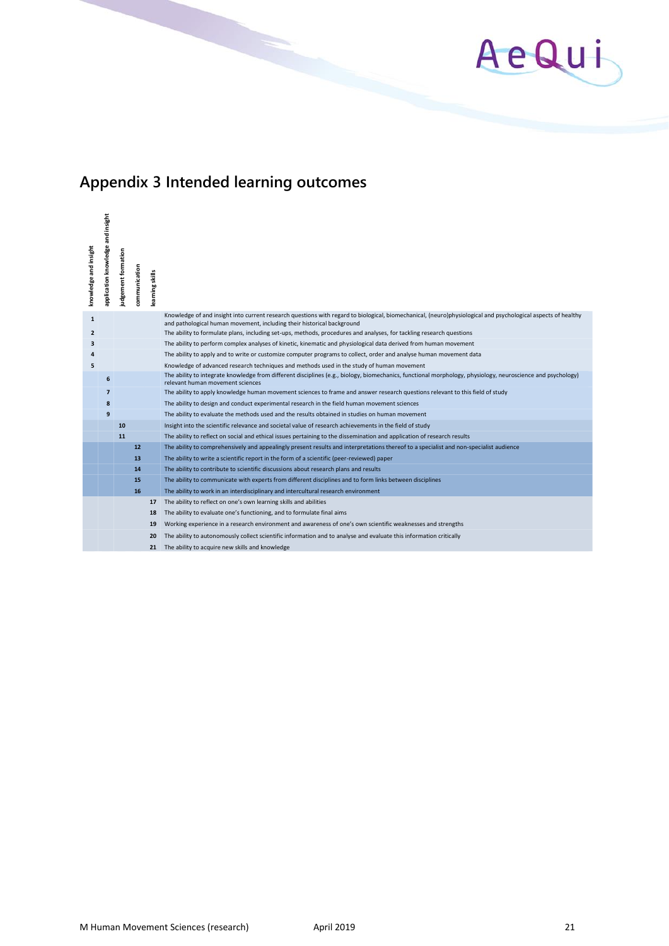

## **Appendix 3 Intended learning outcomes**

| knowledge and insight | application knowledge and insight | judgement formation | communication | learning skills |                                                                                                                                                                                                                                        |
|-----------------------|-----------------------------------|---------------------|---------------|-----------------|----------------------------------------------------------------------------------------------------------------------------------------------------------------------------------------------------------------------------------------|
| $\mathbf{1}$          |                                   |                     |               |                 | Knowledge of and insight into current research questions with regard to biological, biomechanical, (neuro)physiological and psychological aspects of healthy<br>and pathological human movement, including their historical background |
| $\overline{2}$        |                                   |                     |               |                 | The ability to formulate plans, including set-ups, methods, procedures and analyses, for tackling research questions                                                                                                                   |
| 3                     |                                   |                     |               |                 | The ability to perform complex analyses of kinetic, kinematic and physiological data derived from human movement                                                                                                                       |
|                       |                                   |                     |               |                 | The ability to apply and to write or customize computer programs to collect, order and analyse human movement data                                                                                                                     |
| 5                     |                                   |                     |               |                 | Knowledge of advanced research techniques and methods used in the study of human movement                                                                                                                                              |
|                       | 6                                 |                     |               |                 | The ability to integrate knowledge from different disciplines (e.g., biology, biomechanics, functional morphology, physiology, neuroscience and psychology)<br>relevant human movement sciences                                        |
|                       | $\overline{7}$                    |                     |               |                 | The ability to apply knowledge human movement sciences to frame and answer research questions relevant to this field of study                                                                                                          |
|                       | 8                                 |                     |               |                 | The ability to design and conduct experimental research in the field human movement sciences                                                                                                                                           |
|                       | 9                                 |                     |               |                 | The ability to evaluate the methods used and the results obtained in studies on human movement                                                                                                                                         |
|                       |                                   | 10                  |               |                 | Insight into the scientific relevance and societal value of research achievements in the field of study                                                                                                                                |
|                       |                                   | 11                  |               |                 | The ability to reflect on social and ethical issues pertaining to the dissemination and application of research results                                                                                                                |
|                       |                                   |                     | 12            |                 | The ability to comprehensively and appealingly present results and interpretations thereof to a specialist and non-specialist audience                                                                                                 |
|                       |                                   |                     | 13            |                 | The ability to write a scientific report in the form of a scientific (peer-reviewed) paper                                                                                                                                             |
|                       |                                   |                     | 14            |                 | The ability to contribute to scientific discussions about research plans and results                                                                                                                                                   |
|                       |                                   |                     | 15            |                 | The ability to communicate with experts from different disciplines and to form links between disciplines                                                                                                                               |
|                       |                                   |                     | 16            |                 | The ability to work in an interdisciplinary and intercultural research environment                                                                                                                                                     |
|                       |                                   |                     |               | 17              | The ability to reflect on one's own learning skills and abilities                                                                                                                                                                      |
|                       |                                   |                     |               | 18              | The ability to evaluate one's functioning, and to formulate final aims                                                                                                                                                                 |
|                       |                                   |                     |               | 19              | Working experience in a research environment and awareness of one's own scientific weaknesses and strengths                                                                                                                            |
|                       |                                   |                     |               | 20              | The ability to autonomously collect scientific information and to analyse and evaluate this information critically                                                                                                                     |
|                       |                                   |                     |               | 21              | The ability to acquire new skills and knowledge                                                                                                                                                                                        |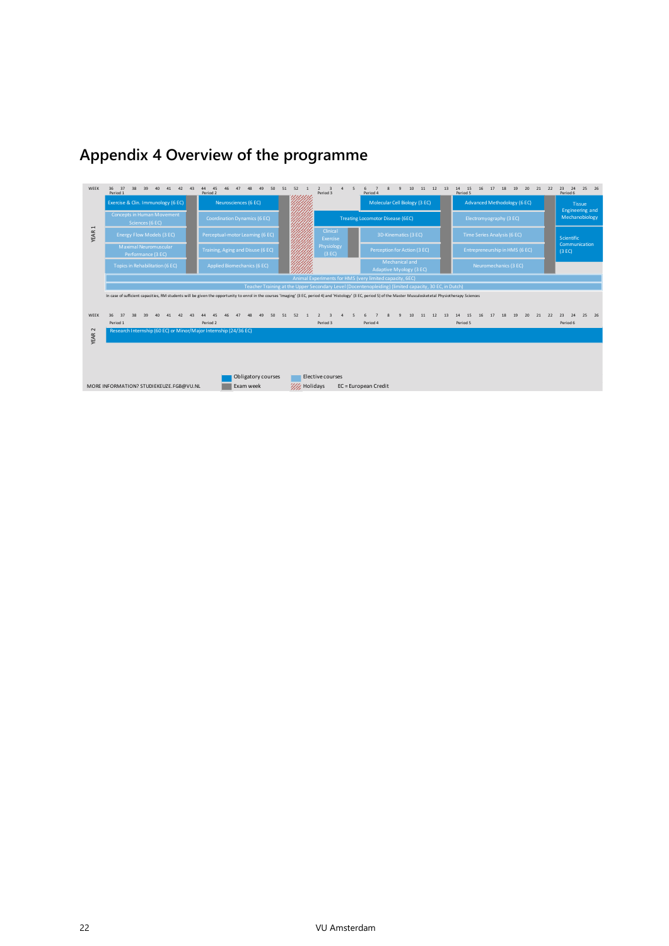

## **Appendix 4 Overview of the programme**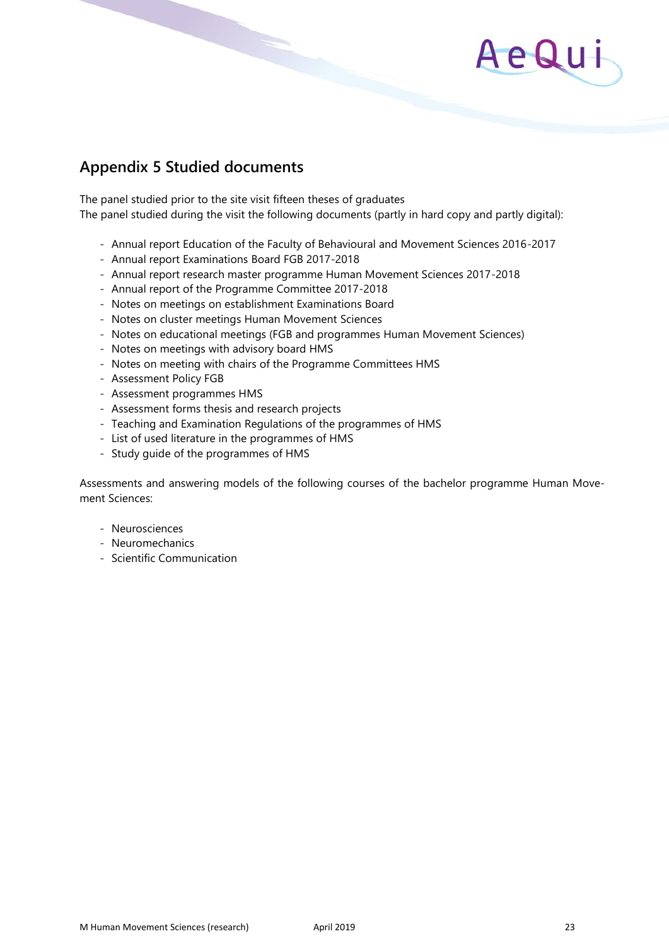## AeQui

## **Appendix 5 Studied documents**

The panel studied prior to the site visit fifteen theses of graduates The panel studied during the visit the following documents (partly in hard copy and partly digital):

- Annual report Education of the Faculty of Behavioural and Movement Sciences 2016-2017
- Annual report Examinations Board FGB 2017-2018
- Annual report research master programme Human Movement Sciences 2017-2018
- Annual report of the Programme Committee 2017-2018
- Notes on meetings on establishment Examinations Board
- Notes on cluster meetings Human Movement Sciences
- Notes on educational meetings (FGB and programmes Human Movement Sciences)
- Notes on meetings with advisory board HMS
- Notes on meeting with chairs of the Programme Committees HMS
- Assessment Policy FGB
- Assessment programmes HMS
- Assessment forms thesis and research projects
- Teaching and Examination Regulations of the programmes of HMS
- List of used literature in the programmes of HMS
- Study guide of the programmes of HMS

Assessments and answering models of the following courses of the bachelor programme Human Movement Sciences:

- Neurosciences
- Neuromechanics
- Scientific Communication